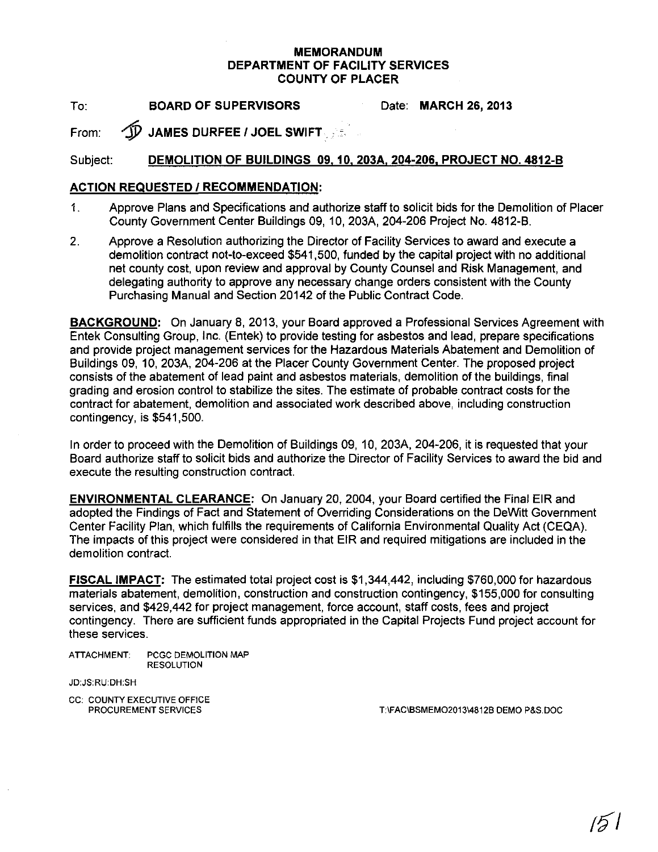## **MEMORANDUM DEPARTMENT OF FACILITY SERVICES COUNTY OF PLACER**

To: **BOARD OF SUPERVISORS**

Date: **MARCH 26, 2013**

From: 1Y **JAMES DURFEE <sup>I</sup> JOEL SWIFT.**

## Subject: **DEMOLITION OF BUILDINGS 09.10, 203A. 204-206, PROJECT NO. 4812-B**

## **ACTION REQUESTED I RECOMMENDATION:**

- 1. Approve Plans and Specifications and authorize staff to solicit bids for the Demolition of Placer County Government Center Buildings 09,10, 203A, 204-206 Project No. 4812-B.
- 2. Approve a Resolution authorizing the Director of Facility Services to award and execute a demolition contract not-to-exceed \$541,500, funded by the capital project with no additional net county cost, upon review and approval by County Counsel and Risk Management, and delegating authority to approve any necessary change orders consistent with the County Purchasing Manual and Section 20142 of the Public Contract Code.

**BACKGROUND:** On January 8, 2013, your Board approved a Professional Services Agreement with Entek Consulting Group, Inc. (Entek) to provide testing for asbestos and lead, prepare specifications and provide project management services for the Hazardous Materials Abatement and Demolition of Buildings 09, 10, 203A, 204-206 at the Placer County Government Center. The proposed project consists of the abatement of lead paint and asbestos materials, demolition of the buildings, final grading and erosion control to stabilize the sites. The estimate of probable contract costs for the contract for abatement, demolition and associated work described above, including construction contingency, is \$541,500.

In order to proceed with the Demolition of Buildings 09, 10, 203A, 204-206, it is requested that your Board authorize staff to solicit bids and authorize the Director of Facility Services to award the bid and execute the resulting construction contract.

**ENVIRONMENTAL CLEARANCE:** On January 20,2004, your Board certified the Final EIR and adopted the Findings of Fact and Statement of Overriding Considerations on the DeWitt Government Center Facility Plan, which fulfills the requirements of California Environmental Quality Act (CEQA). The impacts of this project were considered in that EIR and required mitigations are included in the demolition contract.

**FISCAL IMPACT:** The estimated total project cost is \$1,344,442, including \$760,000 for hazardous materials abatement, demolition, construction and construction contingency, \$155,000 for consulting services, and \$429,442 for project management, force account, staff costs, fees and project contingency. There are sufficient funds appropriated in the Capital Projects Fund project account for these services.

ATTACHMENT; PCGC DEMOLITION MAP RESOLUTION

JD:JS:RU:DH:SH

CC: COUNTY EXECUTIVE OFFICE<br>PROCUREMENT SERVICES

T:\FAC\BSMEMO2013\4812B DEMO P&S.DOC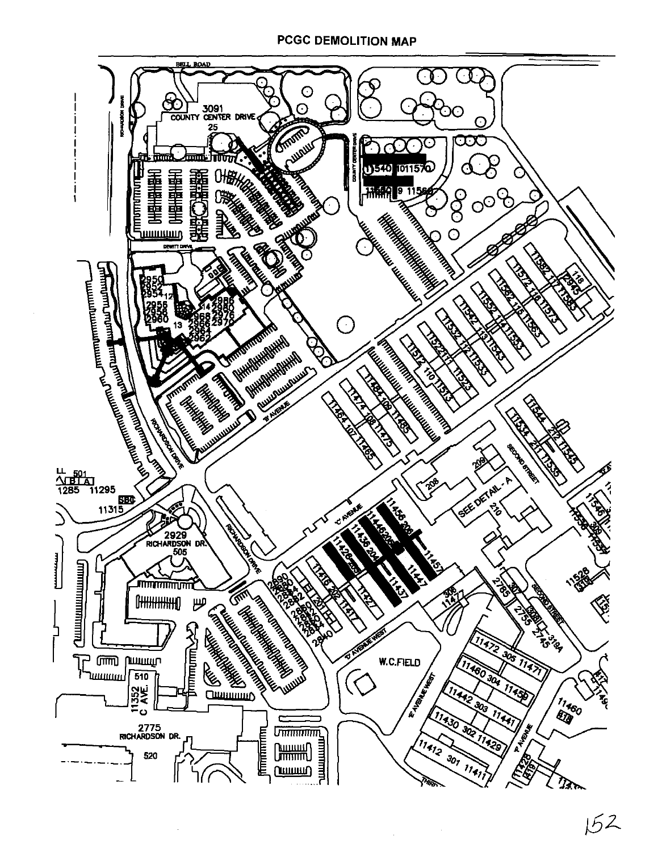

 $152$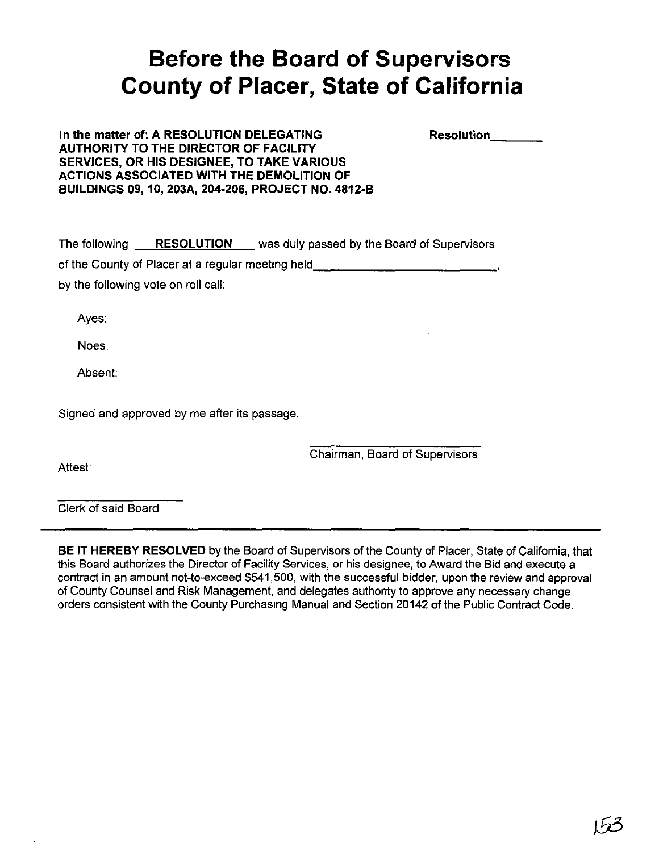## **Before the Board of Supervisors County of Placer, State of California**

In the matter of: A RESOLUTION DELEGATING AUTHORITY TO THE DIRECTOR OF FACILITY SERVICES, OR HIS DESIGNEE, TO TAKE VARIOUS ACTIONS ASSOCIATED WITH THE DEMOLITION OF BUILDINGS 09,10, 203A, 204-206, PROJECT NO. 4812-B Resolution \_

The following RESOLUTION was duly passed by the Board of Supervisors of the County of Placer at a regular meeting held, \_

by the following vote on roll call:

Ayes:

Noes:

Absent:

Signed and approved by me after its passage.

Attest:

Chairman, Board of Supervisors

Clerk of said Board

BE IT HEREBY RESOLVED by the Board of Supervisors of the County of Placer, State of California, that this Board authorizes the Director of Facility Services, or his designee, to Award the Bid and execute a contract in an amount not-to-exceed \$541,500, with the successful bidder, upon the review and approval of County Counsel and Risk Management, and delegates authority to approve any necessary change orders consistent with the County Purchasing Manual and Section 20142 of the Public Contract Code.